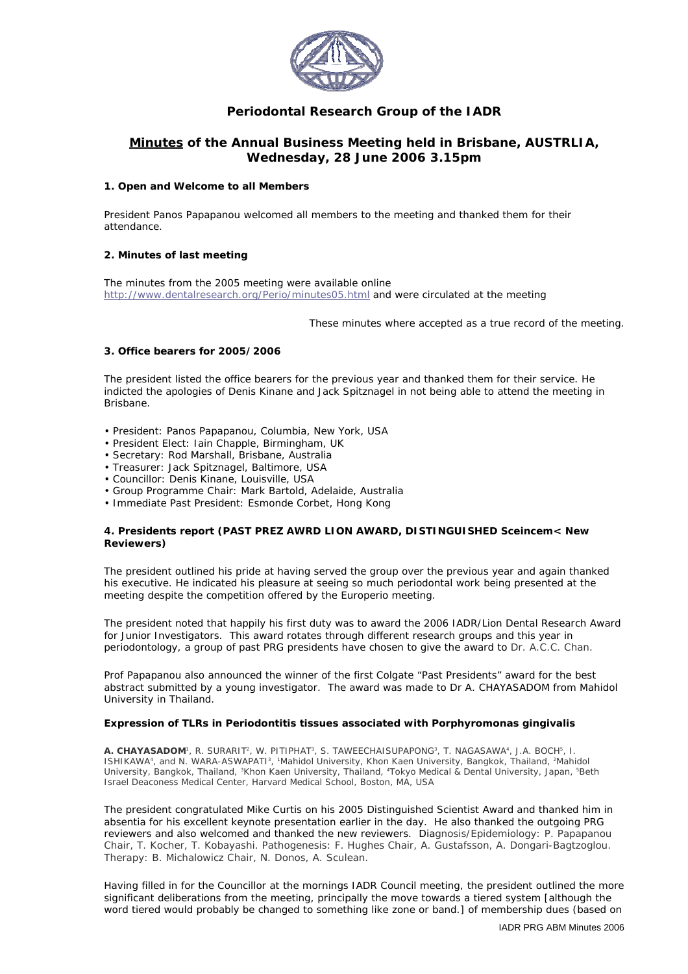

## **Periodontal Research Group of the IADR**

### **Minutes of the Annual Business Meeting held in Brisbane, AUSTRLIA, Wednesday, 28 June 2006 3.15pm**

#### **1. Open and Welcome to all Members**

President Panos Papapanou welcomed all members to the meeting and thanked them for their attendance.

#### **2. Minutes of last meeting**

The minutes from the 2005 meeting were available online <http://www.dentalresearch.org/Perio/minutes05.html>and were circulated at the meeting

These minutes where accepted as a true record of the meeting.

#### **3. Office bearers for 2005/2006**

The president listed the office bearers for the previous year and thanked them for their service. He indicted the apologies of Denis Kinane and Jack Spitznagel in not being able to attend the meeting in Brisbane.

- President: Panos Papapanou, Columbia, New York, USA
- President Elect: Iain Chapple, Birmingham, UK
- Secretary: Rod Marshall, Brisbane, Australia
- Treasurer: Jack Spitznagel, Baltimore, USA
- Councillor: Denis Kinane, Louisville, USA
- Group Programme Chair: Mark Bartold, Adelaide, Australia
- Immediate Past President: Esmonde Corbet, Hong Kong

#### **4. Presidents report (PAST PREZ AWRD LION AWARD, DISTINGUISHED Sceincem< New Reviewers)**

The president outlined his pride at having served the group over the previous year and again thanked his executive. He indicated his pleasure at seeing so much periodontal work being presented at the meeting despite the competition offered by the Europerio meeting.

The president noted that happily his first duty was to award the 2006 IADR/Lion Dental Research Award for Junior Investigators. This award rotates through different research groups and this year in periodontology, a group of past PRG presidents have chosen to give the award to Dr. A.C.C. Chan.

Prof Papapanou also announced the winner of the first Colgate "Past Presidents" award for the best abstract submitted by a young investigator. The award was made to Dr A. CHAYASADOM from Mahidol University in Thailand.

#### **Expression of TLRs in Periodontitis tissues associated with** *Porphyromonas gingivalis*

*A. CHAYASADOM1, R. SURARIT2, W. PITIPHAT3, S. TAWEECHAISUPAPONG3, T. NAGASAWA4, J.A. BOCH5, I. ISHIKAWA4, and N. WARA-ASWAPATI3, 1Mahidol University, Khon Kaen University, Bangkok, Thailand, 2Mahidol University, Bangkok, Thailand, 3Khon Kaen University, Thailand, 4Tokyo Medical & Dental University, Japan, 5Beth Israel Deaconess Medical Center, Harvard Medical School, Boston, MA, USA*

The president congratulated Mike Curtis on his 2005 Distinguished Scientist Award and thanked him in absentia for his excellent keynote presentation earlier in the day. He also thanked the outgoing PRG reviewers and also welcomed and thanked the new reviewers. Diagnosis/Epidemiology: P. Papapanou Chair, T. Kocher, T. Kobayashi. Pathogenesis: F. Hughes Chair, A. Gustafsson, A. Dongari-Bagtzoglou. Therapy: B. Michalowicz Chair, N. Donos, A. Sculean.

Having filled in for the Councillor at the mornings IADR Council meeting, the president outlined the more significant deliberations from the meeting, principally the move towards a tiered system [although the word *tiered* would probably be changed to something like *zone* or *band*.] of membership dues (based on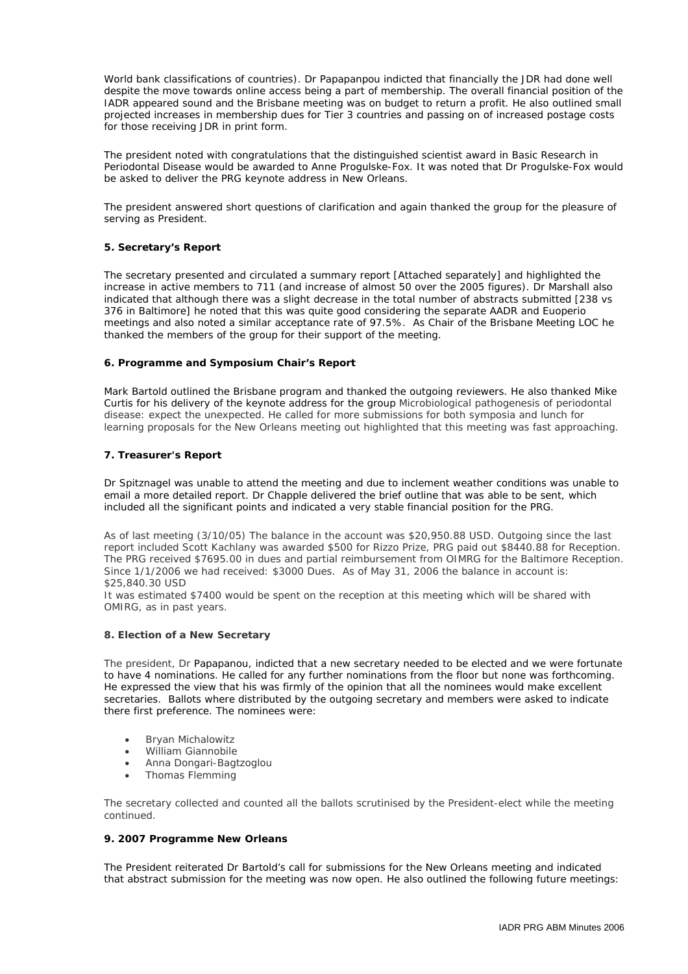World bank classifications of countries). Dr Papapanpou indicted that financially the JDR had done well despite the move towards online access being a part of membership. The overall financial position of the IADR appeared sound and the Brisbane meeting was on budget to return a profit. He also outlined small projected increases in membership dues for Tier 3 countries and passing on of increased postage costs for those receiving JDR in print form.

The president noted with congratulations that the distinguished scientist award in Basic Research in Periodontal Disease would be awarded to Anne Progulske-Fox. It was noted that Dr Progulske-Fox would be asked to deliver the PRG keynote address in New Orleans.

The president answered short questions of clarification and again thanked the group for the pleasure of serving as President.

#### **5. Secretary's Report**

The secretary presented and circulated a summary report [Attached separately] and highlighted the increase in active members to 711 (and increase of almost 50 over the 2005 figures). Dr Marshall also indicated that although there was a slight decrease in the total number of abstracts submitted [238 vs 376 in Baltimore] he noted that this was quite good considering the separate AADR and Euoperio meetings and also noted a similar acceptance rate of 97.5%. As Chair of the Brisbane Meeting LOC he thanked the members of the group for their support of the meeting.

#### **6. Programme and Symposium Chair's Report**

Mark Bartold outlined the Brisbane program and thanked the outgoing reviewers. He also thanked Mike Curtis for his delivery of the keynote address for the group *Microbiological pathogenesis of periodontal disease: expect the unexpected.* He called for more submissions for both symposia and lunch for learning proposals for the New Orleans meeting out highlighted that this meeting was fast approaching.

#### **7. Treasurer's Report**

Dr Spitznagel was unable to attend the meeting and due to inclement weather conditions was unable to email a more detailed report. Dr Chapple delivered the brief outline that was able to be sent, which included all the significant points and indicated a very stable financial position for the PRG.

As of last meeting (3/10/05) The balance in the account was \$20,950.88 USD. Outgoing since the last report included Scott Kachlany was awarded \$500 for Rizzo Prize, PRG paid out \$8440.88 for Reception. The PRG received \$7695.00 in dues and partial reimbursement from OIMRG for the Baltimore Reception. Since 1/1/2006 we had received: \$3000 Dues. As of May 31, 2006 the balance in account is: \$25,840.30 USD

It was estimated \$7400 would be spent on the reception at this meeting which will be shared with OMIRG, as in past years.

#### **8. Election of a New Secretary**

The president, Dr Papapanou, indicted that a new secretary needed to be elected and we were fortunate to have 4 nominations. He called for any further nominations from the floor but none was forthcoming. He expressed the view that his was firmly of the opinion that all the nominees would make excellent secretaries. Ballots where distributed by the outgoing secretary and members were asked to indicate there first preference. The nominees were:

- Bryan Michalowitz
- William Giannobile
- Anna Dongari-Bagtzoglou
- Thomas Flemming

The secretary collected and counted all the ballots scrutinised by the President-elect while the meeting continued.

#### **9. 2007 Programme New Orleans**

The President reiterated Dr Bartold's call for submissions for the New Orleans meeting and indicated that abstract submission for the meeting was now open. He also outlined the following future meetings: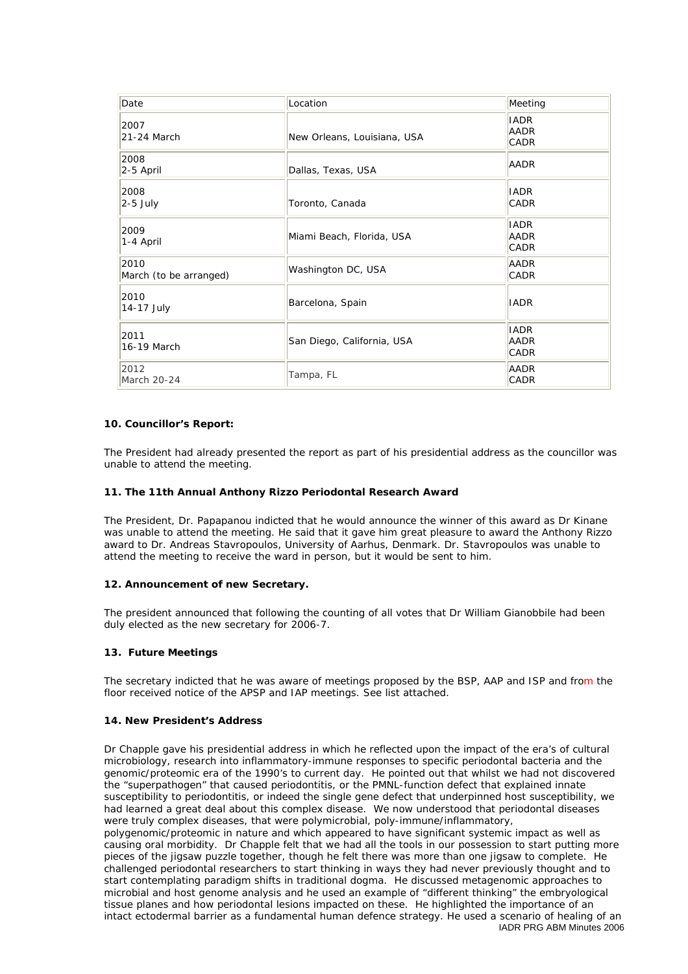| Date                           | Location                    | Meeting                            |
|--------------------------------|-----------------------------|------------------------------------|
| 2007<br>21-24 March            | New Orleans, Louisiana, USA | <b>IADR</b><br><b>AADR</b><br>CADR |
| 2008<br>2-5 April              | Dallas, Texas, USA          | AADR                               |
| 2008<br>$2-5$ July             | Toronto, Canada             | <b>IADR</b><br>CADR                |
| 2009<br>1-4 April              | Miami Beach, Florida, USA   | <b>IADR</b><br><b>AADR</b><br>CADR |
| 2010<br>March (to be arranged) | Washington DC, USA          | AADR<br>CADR                       |
| 2010<br>14-17 July             | Barcelona, Spain            | <b>IADR</b>                        |
| 2011<br>16-19 March            | San Diego, California, USA  | <b>IADR</b><br><b>AADR</b><br>CADR |
| 2012<br>March 20-24            | Tampa, FL                   | <b>AADR</b><br>CADR                |

#### **10. Councillor's Report:**

The President had already presented the report as part of his presidential address as the councillor was unable to attend the meeting.

#### **11. The 11th Annual Anthony Rizzo Periodontal Research Award**

The President, Dr. Papapanou indicted that he would announce the winner of this award as Dr Kinane was unable to attend the meeting. He said that it gave him great pleasure to award the Anthony Rizzo award to Dr. Andreas Stavropoulos, University of Aarhus, Denmark. Dr. Stavropoulos was unable to attend the meeting to receive the ward in person, but it would be sent to him.

#### **12. Announcement of new Secretary.**

The president announced that following the counting of all votes that Dr William Gianobbile had been duly elected as the new secretary for 2006-7.

#### **13. Future Meetings**

The secretary indicted that he was aware of meetings proposed by the BSP, AAP and ISP and from the floor received notice of the APSP and IAP meetings. See list attached.

#### **14. New President's Address**

IADR PRG ABM Minutes 2006 Dr Chapple gave his presidential address in which he reflected upon the impact of the era's of cultural microbiology, research into inflammatory-immune responses to specific periodontal bacteria and the genomic/proteomic era of the 1990's to current day. He pointed out that whilst we had not discovered the "superpathogen" that caused periodontitis, or the PMNL-function defect that explained innate susceptibility to periodontitis, or indeed the single gene defect that underpinned host susceptibility, we had learned a great deal about this complex disease. We now understood that periodontal diseases were truly complex diseases, that were polymicrobial, poly-immune/inflammatory, polygenomic/proteomic in nature and which appeared to have significant systemic impact as well as causing oral morbidity. Dr Chapple felt that we had all the tools in our possession to start putting more pieces of the jigsaw puzzle together, though he felt there was more than one jigsaw to complete. He challenged periodontal researchers to start thinking in ways they had never previously thought and to start contemplating paradigm shifts in traditional dogma. He discussed metagenomic approaches to microbial and host genome analysis and he used an example of "different thinking" the embryological tissue planes and how periodontal lesions impacted on these. He highlighted the importance of an intact ectodermal barrier as a fundamental human defence strategy. He used a scenario of healing of an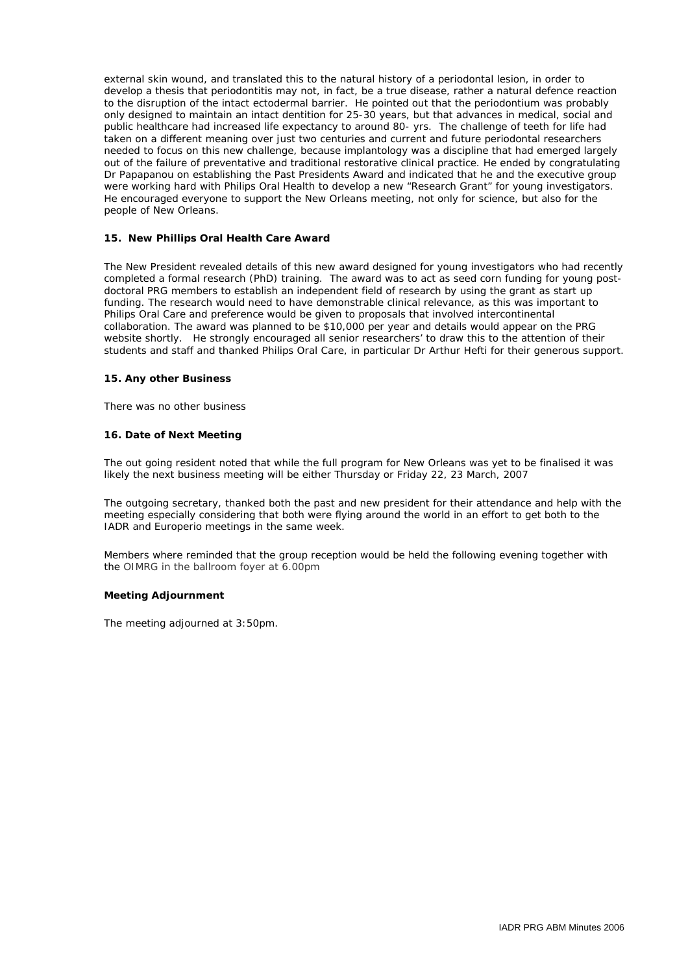external skin wound, and translated this to the natural history of a periodontal lesion, in order to develop a thesis that periodontitis may not, in fact, be a true disease, rather a natural defence reaction to the disruption of the intact ectodermal barrier. He pointed out that the periodontium was probably only designed to maintain an intact dentition for 25-30 years, but that advances in medical, social and public healthcare had increased life expectancy to around 80- yrs. The challenge of teeth for life had taken on a different meaning over just two centuries and current and future periodontal researchers needed to focus on this new challenge, because implantology was a discipline that had emerged largely out of the failure of preventative and traditional restorative clinical practice. He ended by congratulating Dr Papapanou on establishing the Past Presidents Award and indicated that he and the executive group were working hard with Philips Oral Health to develop a new "Research Grant" for young investigators. He encouraged everyone to support the New Orleans meeting, not only for science, but also for the people of New Orleans.

#### **15. New Phillips Oral Health Care Award**

The New President revealed details of this new award designed for young investigators who had recently completed a formal research (PhD) training. The award was to act as seed corn funding for young postdoctoral PRG members to establish an independent field of research by using the grant as start up funding. The research would need to have demonstrable clinical relevance, as this was important to Philips Oral Care and preference would be given to proposals that involved intercontinental collaboration. The award was planned to be \$10,000 per year and details would appear on the PRG website shortly. He strongly encouraged all senior researchers' to draw this to the attention of their students and staff and thanked Philips Oral Care, in particular Dr Arthur Hefti for their generous support.

#### **15. Any other Business**

There was no other business

#### **16. Date of Next Meeting**

The out going resident noted that while the full program for New Orleans was yet to be finalised it was likely the next business meeting will be either Thursday or Friday 22, 23 March, 2007

The outgoing secretary, thanked both the past and new president for their attendance and help with the meeting especially considering that both were flying around the world in an effort to get both to the IADR and Europerio meetings in the same week.

Members where reminded that the group reception would be held the following evening together with the OIMRG in the ballroom foyer at 6.00pm

#### **Meeting Adjournment**

The meeting adjourned at 3:50pm.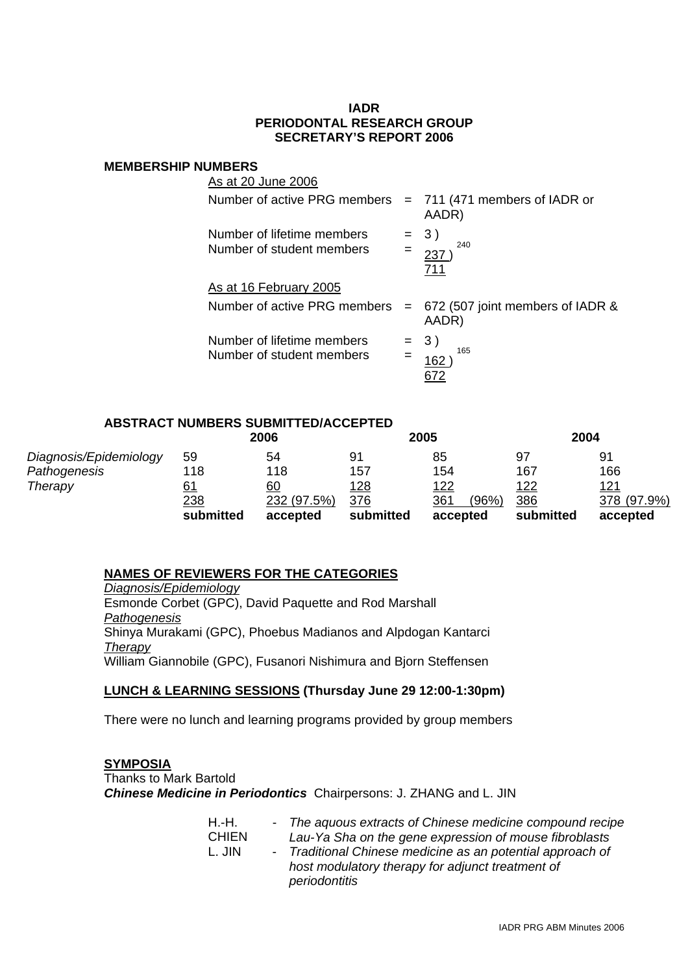## **IADR PERIODONTAL RESEARCH GROUP SECRETARY'S REPORT 2006**

### **MEMBERSHIP NUMBERS**

| As at 20 June 2006                                           |                                               |
|--------------------------------------------------------------|-----------------------------------------------|
| Number of active PRG members $= 711 (471$ members of IADR or | AADR)                                         |
| Number of lifetime members<br>Number of student members      | 3)<br>240<br>237<br>711                       |
| As at 16 February 2005                                       |                                               |
| Number of active PRG members                                 | $= 672$ (507 joint members of IADR &<br>AADR) |
| Number of lifetime members<br>Number of student members      | 3)<br>165<br>162                              |

### **ABSTRACT NUMBERS SUBMITTED/ACCEPTED**

|                        |            | 2006        |            | 2005        |       |             | 2004        |
|------------------------|------------|-------------|------------|-------------|-------|-------------|-------------|
| Diagnosis/Epidemiology | 59         | 54          | 91         | 85          |       | 97          | 91          |
| Pathogenesis           | 118        | 118         | 157        | 154         |       | 167         | 166         |
| Therapy                | 61         | 60          | <u>128</u> | <u> 122</u> |       | <u> 122</u> | <u> 121</u> |
|                        | <u>238</u> | 232 (97.5%) | 376        | 361         | (96%) | 386         | 378 (97.9%) |
|                        | submitted  | accepted    | submitted  | accepted    |       | submitted   | accepted    |

### **NAMES OF REVIEWERS FOR THE CATEGORIES**

*Diagnosis/Epidemiology*  Esmonde Corbet (GPC), David Paquette and Rod Marshall *Pathogenesis*  Shinya Murakami (GPC), Phoebus Madianos and Alpdogan Kantarci *Therapy*  William Giannobile (GPC), Fusanori Nishimura and Bjorn Steffensen

### **LUNCH & LEARNING SESSIONS (Thursday June 29 12:00-1:30pm)**

There were no lunch and learning programs provided by group members

### **SYMPOSIA**

Thanks to Mark Bartold *Chinese Medicine in Periodontics* Chairpersons: J. ZHANG and L. JIN

| H.-H.  | - The aquous extracts of Chinese medicine compound recipe  |
|--------|------------------------------------------------------------|
| CHIEN  | Lau-Ya Sha on the gene expression of mouse fibroblasts     |
| L. JIN | - Traditional Chinese medicine as an potential approach of |
|        | host modulatory therapy for adjunct treatment of           |
|        | periodontitis                                              |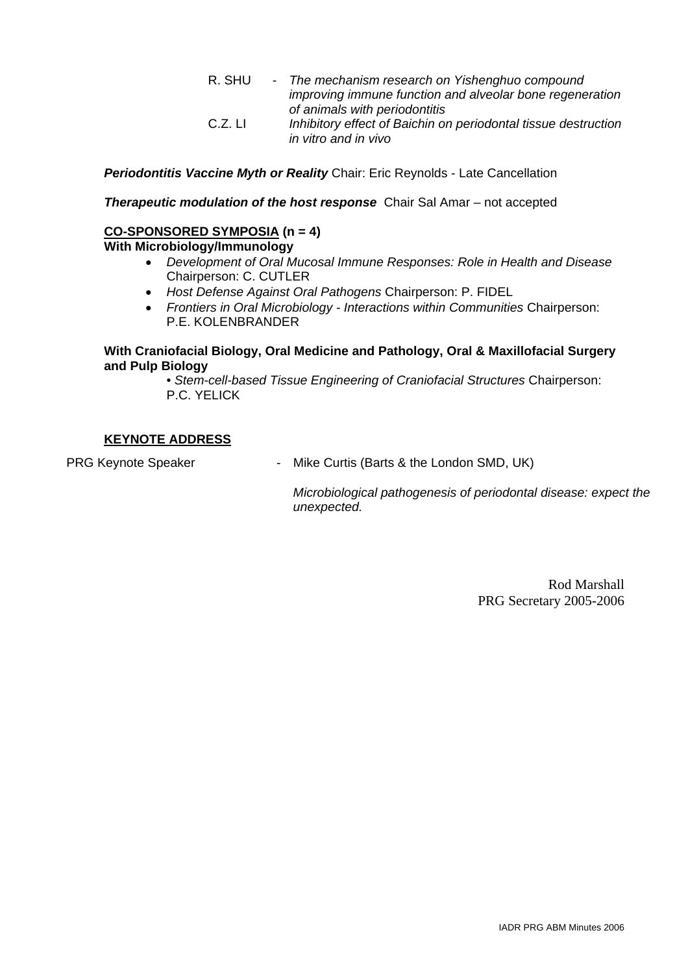R. SHU - *The mechanism research on Yishenghuo compound improving immune function and alveolar bone regeneration of animals with periodontitis*  C.Z. LI *Inhibitory effect of Baichin on periodontal tissue destruction in vitro and in vivo* 

*Periodontitis Vaccine Myth or Reality* Chair: Eric Reynolds - Late Cancellation

*Therapeutic modulation of the host response* Chair Sal Amar – not accepted

## **CO-SPONSORED SYMPOSIA (n = 4)**

## **With Microbiology/Immunology**

- *Development of Oral Mucosal Immune Responses: Role in Health and Disease*  Chairperson: C. CUTLER
- *Host Defense Against Oral Pathogens* Chairperson: P. FIDEL
- *Frontiers in Oral Microbiology Interactions within Communities* Chairperson: P.E. KOLENBRANDER

## **With Craniofacial Biology, Oral Medicine and Pathology, Oral & Maxillofacial Surgery and Pulp Biology**

• *Stem-cell-based Tissue Engineering of Craniofacial Structures* Chairperson: P.C. YELICK

## **KEYNOTE ADDRESS**

PRG Keynote Speaker - The Mike Curtis (Barts & the London SMD, UK)

*Microbiological pathogenesis of periodontal disease: expect the unexpected.* 

> Rod Marshall PRG Secretary 2005-2006